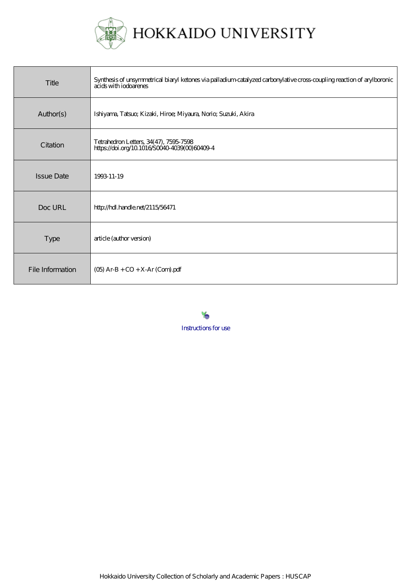

## HOKKAIDO UNIVERSITY

| Title             | Synthesis of unsymmetrical biaryl ketones via palladium catalyzed carbonylative cross-coupling reaction of arylboronic<br>acids with inducinents |
|-------------------|--------------------------------------------------------------------------------------------------------------------------------------------------|
| Author(s)         | Ishiyama, Tatsux, Kizaki, Hiroe; Miyaura, Norio; Suzuki, Akira                                                                                   |
| Citation          | Tetrahedron Letters, 34(47), 7595-7598<br>https://doi.org/10.1016/S0040-4039(00)60409-4                                                          |
| <b>Issue Date</b> | 1993-11-19                                                                                                                                       |
| Doc URL           | http://hdl.handle.net/2115/56471                                                                                                                 |
| <b>Type</b>       | article (author version)                                                                                                                         |
| File Information  | $(O5)$ Ar-B + $CO + X$ -Ar $(Com)$ .pdf                                                                                                          |

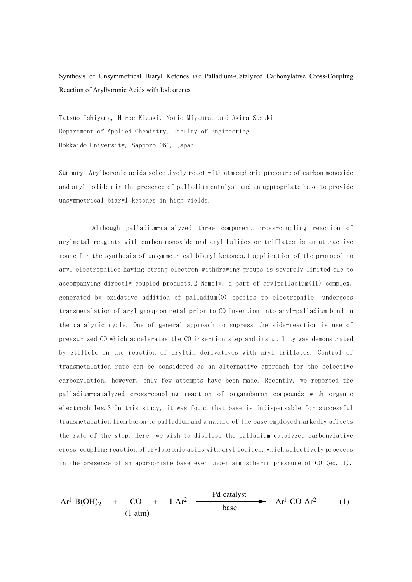Synthesis of Unsymmetrical Biaryl Ketones *via* Palladium-Catalyzed Carbonylative Cross-Coupling Reaction of Arylboronic Acids with Iodoarenes

Tatsuo Ishiyama, Hiroe Kizaki, Norio Miyaura, and Akira Suzuki Department of Applied Chemistry, Faculty of Engineering, Hokkaido University, Sapporo 060, Japan

Summary: Arylboronic acids selectively react with atmospheric pressure of carbon monoxide and aryl iodides in the presence of palladium catalyst and an appropriate base to provide unsymmetrical biaryl ketones in high yields.

Although palladium-catalyzed three component cross-coupling reaction of arylmetal reagents with carbon monoxide and aryl halides or triflates is an attractive route for the synthesis of unsymmetrical biaryl ketones, 1 application of the protocol to aryl electrophiles having strong electron-withdrawing groups is severely limited due to accompanying directly coupled products. 2 Namely, a part of arylpalladium(II) complex, generated by oxidative addition of  $p$ alladium $(0)$  species to electrophile, undergoes transmetalation of aryl group on metal prior to CO insertion into aryl-palladium bond in the catalytic cycle. One of general approach to supress the side-reaction is use of pressurized CO which accelerates the CO insertion step and its utility was demonstrated by Stilleld in the reaction of aryltin derivatives with aryl triflates. Control of transmetalation rate can be considered as an alternative approach for the selective carbonylation, however, only few attempts have been made. Recently, we reported the palladium-catalyzed cross-coupling reaction of organoboron compounds with organic electrophiles. 3 In this study, it was found that base is indispensable for successful transmetalation from boron to palladium and a nature of the base employed markedly affects the rate of the step. Here, we wish to disclose the palladium-catalyzed carbonylative cross-coupling reaction of arylboronic acids with aryl iodides, which selectively proceeds in the presence of an appropriate base even under atmospheric pressure of  $\text{CO}$  (eq. 1).

$$
Ar^{1}-B(OH)_{2} + CO + I-Ar^{2} \xrightarrow{\text{Pd-catalyst}} Ar^{1}-CO-Ar^{2} \qquad (1)
$$
\n
$$
(1 atm)
$$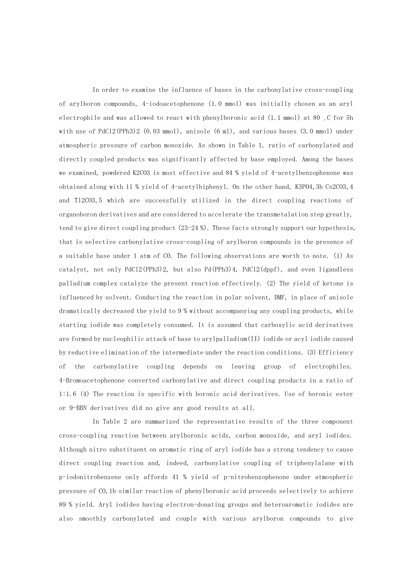In order to examine the influence of bases in the carbonylative cross-coupling of arylboron compounds, 4-iodoacetophenone  $(1.0 \text{ mmol})$  was initially chosen as an aryl electrophile and was allowed to react with phenylboronic acid  $(1.1 \text{ mmol})$  at 80  $\degree$  C for 5h with use of PdCl2(PPh3)2 (0.03 mmol), anisole (6 ml), and various bases (3.0 mmol) under atmospheric pressure of carbon monoxide. As shown in Table 1, ratio of carbonylated and directly coupled products was significantly affected by base employed. Among the bases we examined, powdered K2CO3 is most effective and 84 % yield of 4-acetylbenzophenone was obtained along with 11 % yield of 4-acetylbiphenyl. On the other hand, K3PO4, 3b Cs2CO3, 4 and T12CO3,5 which are successfully utilized in the direct coupling reactions of organoboron derivatives and are considered to accelerate the transmetalation step greatly, tend to give direct coupling product  $(23-24\%)$ . These facts strongly support our hypothesis, that is selective carbonylative cross-coupling of arylboron compounds in the presence of a suitable base under 1 atm of CO. The following observations are worth to note. (1) As catalyst, not only PdCl2(PPh3)2, but also Pd(PPh3)4, PdCl2(dppf), and even ligandless palladium complex catalyze the present reaction effectively. (2) The yield of ketone is influenced by solvent. Conducting the reaction in polar solvent, DMF, in place of anisole dramatically decreased the yield to 9 % without accompanying any coupling products, while starting iodide was completely consumed. It is assumed that carboxylic acid derivatives are formed by nucleophilic attack of base to arylpalladium $(II)$  iodide or acyl iodide caused by reductive elimination of the intermediate under the reaction conditions.  $(3)$  Efficiency of the carbonylative coupling depends on leaving group of electrophiles. 4-Bromoacetophenone converted carbonylative and direct coupling products in a ratio of 1:1.6 (4) The reaction is specific with boronic acid derivatives. Use of boronic ester or 9-BBN derivatives did no give any good results at all.

In Table 2 are summarized the representative results of the three component cross-coupling reaction between arylboronic acids, carbon monoxide, and aryl iodides. Although nitro substituent on aromatic ring of aryl iodide has a strong tendency to cause direct coupling reaction and, indeed, carbonylative coupling of triphenylalane with p-iodonitrobenzene only affords 41 % yield of p-nitrobenzophenone under atmospheric pressure of CO, 1b similar reaction of phenylboronic acid proceeds selectively to achieve 89 % vield. Aryl iodides having electron-donating groups and heteroaromatic iodides are also smoothly carbonylated and couple with various arylboron compounds to give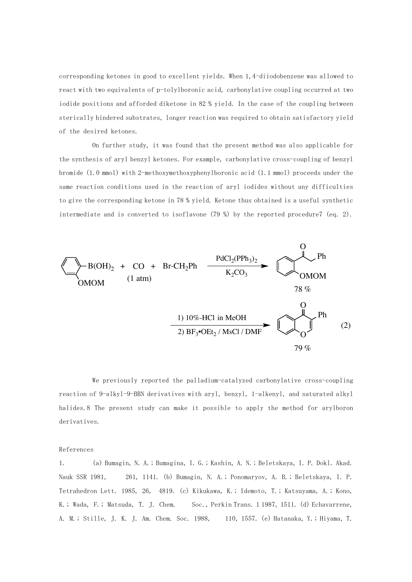corresponding ketones in good to excellent yields. When 1,4-diiodobenzene was allowed to react with two equivalents of p-tolylboronic acid, carbonylative coupling occurred at two iodide positions and afforded diketone in 82 % yield. In the case of the coupling between sterically hindered substrates, longer reaction was required to obtain satisfactory yield of the desired ketones.

On further study, it was found that the present method was also applicable for the synthesis of aryl benzyl ketones. For example, carbonylative cross-coupling of benzyl bromide  $(1.0 \text{ mmol})$  with 2-methoxymethoxyphenylboronic acid  $(1.1 \text{ mmol})$  proceeds under the same reaction conditions used in the reaction of aryl iodides without any difficulties to give the corresponding ketone in 78 % yield. Ketone thus obtained is a useful synthetic intermediate and is converted to isoflavone  $(79\%)$  by the reported procedure7 (eq. 2).



We previously reported the palladium-catalyzed carbonylative cross-coupling reaction of 9-alkyl-9-BBN derivatives with aryl, benzyl, 1-alkenyl, and saturated alkyl halides.8 The present study can make it possible to apply the method for arylboron derivatives.

## References

1. (a) Bumagin, N. A.; Bumagina, I. G.; Kashin, A. N.; Beletskaya, I. P. Dokl. Akad. Nauk SSR 1981, 261, 1141. (b) Bumagin, N. A.; Ponomaryov, A. B.; Beletskaya, I. P. Tetrahedron Lett. 1985, 26, 4819. (c) Kikukawa, K.; Idemoto, T.; Katsuyama, A.; Kono, K.; Wada, F.; Matsuda, T. J. Chem. Soc., Perkin Trans. 1 1987, 1511. (d) Echavarrene, A. M.; Stille, J. K. J. Am. Chem. Soc. 1988, 110, 1557. (e) Hatanaka, Y.; Hiyama, T.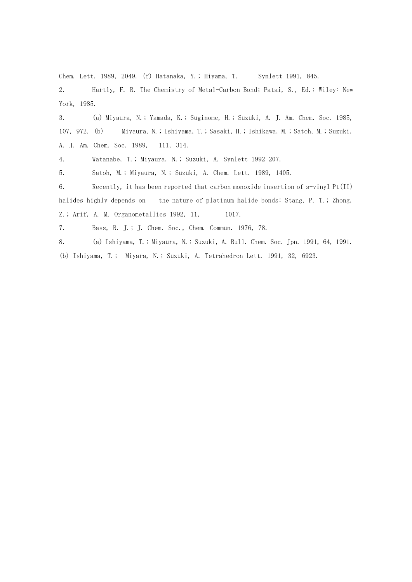Chem. Lett. 1989, 2049. (f) Hatanaka, Y.; Hiyama, T. Synlett 1991, 845.

2. Hartly, F. R. The Chemistry of Metal-Carbon Bond; Patai, S., Ed.; Wiley: New York, 1985.

3. (a) Miyaura, N.; Yamada, K.; Suginome, H.; Suzuki, A. J. Am. Chem. Soc. 1985, 107, 972. (b) Miyaura, N.; Ishiyama, T.; Sasaki, H.; Ishikawa, M.; Satoh, M.; Suzuki, A. J. Am. Chem. Soc. 1989, 111, 314.

4. Watanabe, T.; Miyaura, N.; Suzuki, A. Synlett 1992 207.

5. Satoh, M.; Miyaura, N.; Suzuki, A. Chem. Lett. 1989, 1405.

6. Recently, it has been reported that carbon monoxide insertion of s-vinyl Pt(II) halides highly depends on the nature of platinum-halide bonds: Stang, P. T.; Zhong, Z.; Arif, A. M. Organometallics 1992, 11, 1017.

7. Bass, R. J.; J. Chem. Soc., Chem. Commun. 1976, 78.

8. (a) Ishiyama, T.; Miyaura, N.; Suzuki, A. Bull. Chem. Soc. Jpn. 1991, 64, 1991. (b) Ishiyama, T.; Miyara, N.; Suzuki, A. Tetrahedron Lett. 1991, 32, 6923.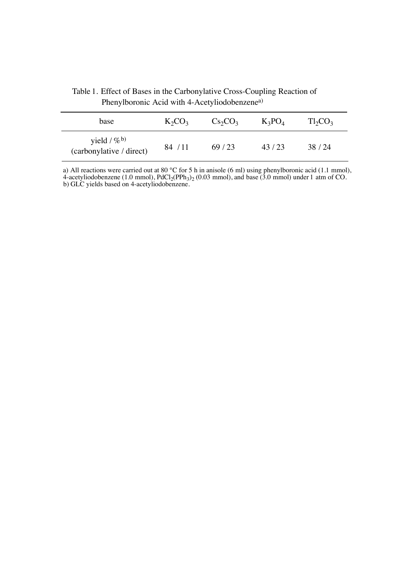| base                                                  | $K_2CO_3$ | $Cs_2CO_3$ | $K_3PO_4$ | $Tl_2CO_3$ |
|-------------------------------------------------------|-----------|------------|-----------|------------|
| yield $/$ % <sup>b)</sup><br>(carbonylative / direct) | 84 / 11   | 69/23      | 43/23     | 38/24      |

Table 1. Effect of Bases in the Carbonylative Cross-Coupling Reaction of Phenylboronic Acid with 4-Acetyliodobenzenea)

j.

a) All reactions were carried out at 80 °C for 5 h in anisole (6 ml) using phenylboronic acid (1.1 mmol), 4-acetyliodobenzene (1.0 mmol),  $PdCl_2(PPh_3)_2$  (0.03 mmol), and base (3.0 mmol) under 1 atm of CO. b) GLC yields based on 4-acetyliodobenzene.